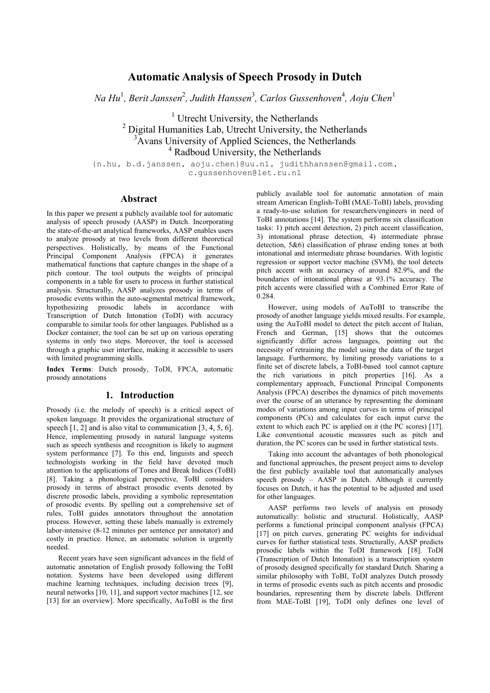# **Automatic Analysis of Speech Prosody in Dutch**

 $Na Hu<sup>1</sup>$ , *Berit Janssen<sup>2</sup>, Judith Hanssen<sup>3</sup>, Carlos Gussenhoven<sup>4</sup>, Aoju Chen<sup>1</sup>* 

<sup>1</sup> Utrecht University, the Netherlands <sup>2</sup> Digital Humanities Lab, Utrecht University, the Netherlands  $3\overline{\text{A}}$ vans University of Applied Sciences, the Netherlands <sup>4</sup> Radboud University, the Netherlands

{n.hu, b.d.janssen, aoju.chen}@uu.nl, [judithhanssen@gmail.com,](mailto:judithhanssen@gmail.com) c.gussenhoven@let.ru.nl

### **Abstract**

In this paper we present a publicly available tool for automatic analysis of speech prosody (AASP) in Dutch. Incorporating the state-of-the-art analytical frameworks, AASP enables users to analyze prosody at two levels from different theoretical perspectives. Holistically, by means of the Functional Principal Component Analysis (FPCA) it generates mathematical functions that capture changes in the shape of a pitch contour. The tool outputs the weights of principal components in a table for users to process in further statistical analysis. Structurally, AASP analyzes prosody in terms of prosodic events within the auto-segmental metrical framework, hypothesizing prosodic labels in accordance with Transcription of Dutch Intonation (ToDI) with accuracy comparable to similar tools for other languages. Published as a Docker container, the tool can be set up on various operating systems in only two steps. Moreover, the tool is accessed through a graphic user interface, making it accessible to users with limited programming skills.

**Index Terms**: Dutch prosody, ToDI, FPCA, automatic prosody annotations

### **1. Introduction**

Prosody (i.e. the melody of speech) is a critical aspect of spoken language. It provides the organizational structure of speech [1, 2] and is also vital to communication [3, 4, 5, 6]. Hence, implementing prosody in natural language systems such as speech synthesis and recognition is likely to augment system performance [7]. To this end, linguists and speech technologists working in the field have devoted much attention to the applications of Tones and Break Indices (ToBI) [8]. Taking a phonological perspective, ToBI considers prosody in terms of abstract prosodic events denoted by discrete prosodic labels, providing a symbolic representation of prosodic events. By spelling out a comprehensive set of rules, ToBI guides annotators throughout the annotation process. However, setting these labels manually is extremely labor-intensive (8-12 minutes per sentence per annotator) and costly in practice. Hence, an automatic solution is urgently needed.

Recent years have seen significant advances in the field of automatic annotation of English prosody following the ToBI notation. Systems have been developed using different machine learning techniques, including decision trees [9], neural networks [10, 11], and support vector machines [12, see [13] for an overview]. More specifically, AuToBI is the first publicly available tool for automatic annotation of main stream American English-ToBI (MAE-ToBI) labels, providing a ready-to-use solution for researchers/engineers in need of ToBI annotations [14]. The system performs six classification tasks: 1) pitch accent detection, 2) pitch accent classification, 3) intonational phrase detection, 4) intermediate phrase detection, 5&6) classification of phrase ending tones at both intonational and intermediate phrase boundaries. With logistic regression or support vector machine (SVM), the tool detects pitch accent with an accuracy of around 82.9%, and the boundaries of intonational phrase at 93.1% accuracy. The pitch accents were classified with a Combined Error Rate of 0.284.

However, using models of AuToBI to transcribe the prosody of another language yields mixed results. For example, using the AuToBI model to detect the pitch accent of Italian, French and German, [15] shows that the outcomes significantly differ across languages, pointing out the necessity of retraining the model using the data of the target language. Furthermore, by limiting prosody variations to a finite set of discrete labels, a ToBI-based tool cannot capture the rich variations in pitch properties [16]. As a complementary approach, Functional Principal Components Analysis (FPCA) describes the dynamics of pitch movements over the course of an utterance by representing the dominant modes of variations among input curves in terms of principal components (PCs) and calculates for each input curve the extent to which each PC is applied on it (the PC scores) [17]. Like conventional acoustic measures such as pitch and duration, the PC scores can be used in further statistical tests.

Taking into account the advantages of both phonological and functional approaches, the present project aims to develop the first publicly available tool that automatically analyses speech prosody – AASP in Dutch. Although it currently focuses on Dutch, it has the potential to be adjusted and used for other languages.

AASP performs two levels of analysis on prosody automatically: holistic and structural. Holistically, AASP performs a functional principal component analysis (FPCA) [17] on pitch curves, generating PC weights for individual curves for further statistical tests. Structurally, AASP predicts prosodic labels within the ToDI framework [18]. ToDI (Transcription of Dutch Intonation) is a transcription system of prosody designed specifically for standard Dutch. Sharing a similar philosophy with ToBI, ToDI analyzes Dutch prosody in terms of prosodic events such as pitch accents and prosodic boundaries, representing them by discrete labels. Different from MAE-ToBI [19], ToDI only defines one level of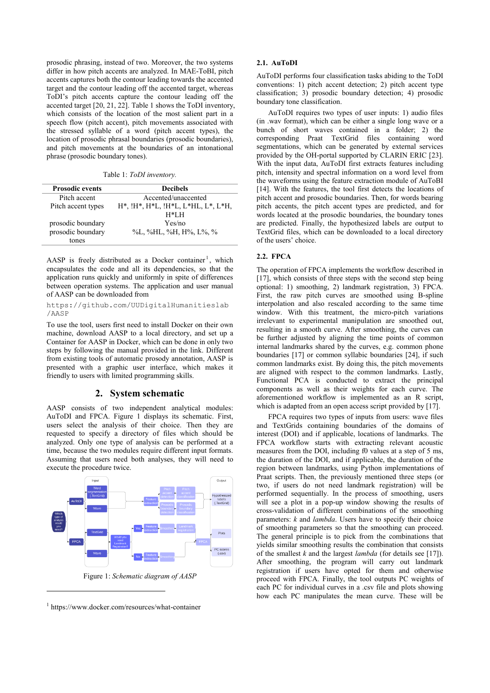prosodic phrasing, instead of two. Moreover, the two systems differ in how pitch accents are analyzed. In MAE-ToBI, pitch accents captures both the contour leading towards the accented target and the contour leading off the accented target, whereas ToDI's pitch accents capture the contour leading off the accented target [20, 21, 22]. Table 1 shows the ToDI inventory, which consists of the location of the most salient part in a speech flow (pitch accent), pitch movements associated with the stressed syllable of a word (pitch accent types), the location of prosodic phrasal boundaries (prosodic boundaries), and pitch movements at the boundaries of an intonational phrase (prosodic boundary tones).

Table 1: *ToDI inventory.*

| <b>Prosodic events</b> | <b>Decibels</b>                           |
|------------------------|-------------------------------------------|
| Pitch accent           | Accented/unaccented                       |
| Pitch accent types     | $H^*, H^*, H^*L, H^*L, L^*HL, L^*, L^*H,$ |
|                        | $H*LH$                                    |
| prosodic boundary      | Yes/no                                    |
| prosodic boundary      | %L, %HL, %H, H%, L%, %                    |
| tones                  |                                           |

AASP is freely distributed as a Docker container<sup>1</sup>, which encapsulates the code and all its dependencies, so that the application runs quickly and uniformly in spite of differences between operation systems. The application and user manual of AASP can be downloaded from

[https://github.com/UUDigitalHumanitieslab](https://github.com/UUDigitalHumanitieslab/AASP) [/AASP](https://github.com/UUDigitalHumanitieslab/AASP)

To use the tool, users first need to install Docker on their own machine, download AASP to a local directory, and set up a Container for AASP in Docker, which can be done in only two steps by following the manual provided in the link. Different from existing tools of automatic prosody annotation, AASP is presented with a graphic user interface, which makes it friendly to users with limited programming skills.

## **2. System schematic**

AASP consists of two independent analytical modules: AuToDI and FPCA. Figure 1 displays its schematic. First, users select the analysis of their choice. Then they are requested to specify a directory of files which should be analyzed. Only one type of analysis can be performed at a time, because the two modules require different input formats. Assuming that users need both analyses, they will need to execute the procedure twice.



<sup>1</sup> https://www.docker.com/resources/what-container

1

#### **2.1. AuToDI**

AuToDI performs four classification tasks abiding to the ToDI conventions: 1) pitch accent detection; 2) pitch accent type classification; 3) prosodic boundary detection; 4) prosodic boundary tone classification.

AuToDI requires two types of user inputs: 1) audio files (in .wav format), which can be either a single long wave or a bunch of short waves contained in a folder; 2) the corresponding Praat TextGrid files containing word segmentations, which can be generated by external services provided by the OH-portal supported by CLARIN ERIC [23]. With the input data, AuToDI first extracts features including pitch, intensity and spectral information on a word level from the waveforms using the feature extraction module of AuToBI [14]. With the features, the tool first detects the locations of pitch accent and prosodic boundaries. Then, for words bearing pitch accents, the pitch accent types are predicted, and for words located at the prosodic boundaries, the boundary tones are predicted. Finally, the hypothesized labels are output to TextGrid files, which can be downloaded to a local directory of the users' choice.

#### **2.2. FPCA**

The operation of FPCA implements the workflow described in [17], which consists of three steps with the second step being optional: 1) smoothing, 2) landmark registration, 3) FPCA. First, the raw pitch curves are smoothed using B-spline interpolation and also rescaled according to the same time window. With this treatment, the micro-pitch variations irrelevant to experimental manipulation are smoothed out, resulting in a smooth curve. After smoothing, the curves can be further adjusted by aligning the time points of common internal landmarks shared by the curves, e.g. common phone boundaries [17] or common syllabic boundaries [24], if such common landmarks exist. By doing this, the pitch movements are aligned with respect to the common landmarks. Lastly, Functional PCA is conducted to extract the principal components as well as their weights for each curve. The aforementioned workflow is implemented as an R script, which is adapted from an open access script provided by [17].

FPCA requires two types of inputs from users: wave files and TextGrids containing boundaries of the domains of interest (DOI) and if applicable, locations of landmarks. The FPCA workflow starts with extracting relevant acoustic measures from the DOI, including f0 values at a step of 5 ms, the duration of the DOI, and if applicable, the duration of the region between landmarks, using Python implementations of Praat scripts. Then, the previously mentioned three steps (or two, if users do not need landmark registration) will be performed sequentially. In the process of smoothing, users will see a plot in a pop-up window showing the results of cross-validation of different combinations of the smoothing parameters: *k* and *lambda*. Users have to specify their choice of smoothing parameters so that the smoothing can proceed. The general principle is to pick from the combinations that yields similar smoothing results the combination that consists of the smallest *k* and the largest *lambda* (for details see [17]). After smoothing, the program will carry out landmark registration if users have opted for them and otherwise proceed with FPCA. Finally, the tool outputs PC weights of each PC for individual curves in a .csv file and plots showing how each PC manipulates the mean curve. These will be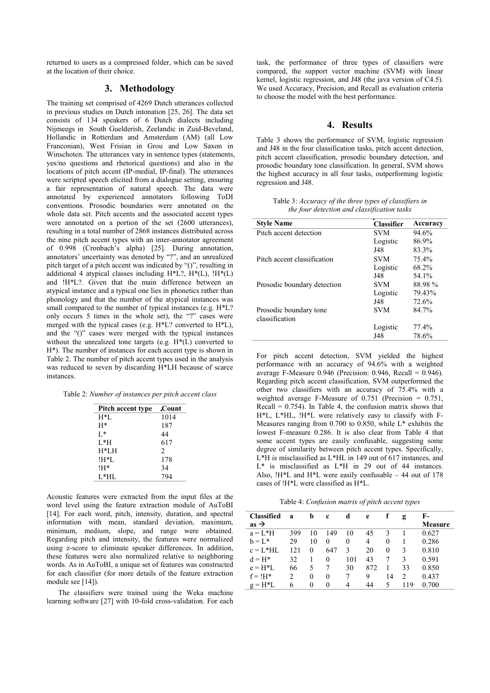returned to users as a compressed folder, which can be saved at the location of their choice.

# **3. Methodology**

The training set comprised of 4269 Dutch utterances collected in previous studies on Dutch intonation [25, 26]. The data set consists of 134 speakers of 6 Dutch dialects including Nijmeegs in South Guelderish, Zeelandic in Zuid-Beveland, Hollandic in Rotterdam and Amsterdam (AM) (all Low Franconian), West Frisian in Grou and Low Saxon in Winschoten. The utterances vary in sentence types (statements, yes/no questions and rhetorical questions) and also in the locations of pitch accent (IP-medial, IP-final). The utterances were scripted speech elicited from a dialogue setting, ensuring a fair representation of natural speech. The data were annotated by experienced annotators following ToDI conventions. Prosodic boundaries were annotated on the whole data set. Pitch accents and the associated accent types were annotated on a portion of the set (2600 utterances), resulting in a total number of 2868 instances distributed across the nine pitch accent types with an inter-annotator agreement of 0.998 (Cronbach's alpha) [25]. During annotation, annotators' uncertainty was denoted by "?", and an unrealized pitch target of a pitch accent was indicated by "()", resulting in additional 4 atypical classes including  $H^*L$ ?,  $H^*(L)$ ,  $H^*(L)$ and !H\*L?. Given that the main difference between an atypical instance and a typical one lies in phonetics rather than phonology and that the number of the atypical instances was small compared to the number of typical instances (e.g. H\*L? only occurs 5 times in the whole set), the "?" cases were merged with the typical cases (e.g. H\*L? converted to H\*L), and the "()" cases were merged with the typical instances without the unrealized tone targets (e.g. H\*(L) converted to H\*). The number of instances for each accent type is shown in Table 2. The number of pitch accent types used in the analysis was reduced to seven by discarding H\*LH because of scarce instances.

| Table 2: Number of instances per pitch accent class |  |
|-----------------------------------------------------|--|
|-----------------------------------------------------|--|

| Pitch accent type | Count |
|-------------------|-------|
| $H*L$             | 1014  |
| $H^*$             | 187   |
| $L^*$             | 44    |
| $L^*H$            | 617   |
| $H^*LH$           | 2     |
| !H*L              | 178   |
| !H*               | 34    |
| L*HL              | 794   |

Acoustic features were extracted from the input files at the word level using the feature extraction module of AuToBI [14]. For each word, pitch, intensity, duration, and spectral information with mean, standard deviation, maximum, minimum, medium, slope, and range were obtained. Regarding pitch and intensity, the features were normalized using z-score to eliminate speaker differences. In addition, these features were also normalized relative to neighboring words. As in AuToBI, a unique set of features was constructed for each classifier (for more details of the feature extraction module see [14]).

The classifiers were trained using the Weka machine learning software [27] with 10-fold cross-validation. For each task, the performance of three types of classifiers were compared, the support vector machine (SVM) with linear kernel, logistic regression, and J48 (the java version of C4.5). We used Accuracy, Precision, and Recall as evaluation criteria to choose the model with the best performance.

# **4. Results**

Table 3 shows the performance of SVM, logistic regression and J48 in the four classification tasks, pitch accent detection, pitch accent classification, prosodic boundary detection, and prosodic boundary tone classification. In general, SVM shows the highest accuracy in all four tasks, outperforming logistic regression and J48.

Table 3: *Accuracy of the three types of classifiers in the four detection and classification tasks*

| <b>Style Name</b>           | <b>Classifier</b> | Accuracy |
|-----------------------------|-------------------|----------|
| Pitch accent detection      | <b>SVM</b>        | 94.6%    |
|                             | Logistic          | 86.9%    |
|                             | J48               | 83.3%    |
| Pitch accent classification | <b>SVM</b>        | 75.4%    |
|                             | Logistic          | 68.2%    |
|                             | J48               | 54.1%    |
| Prosodic boundary detection | <b>SVM</b>        | 88.98%   |
|                             | Logistic          | 79.43%   |
|                             | J48               | 72.6%    |
| Prosodic boundary tone      | <b>SVM</b>        | 84 7%    |
| classification              |                   |          |
|                             | Logistic          | 77.4%    |
|                             | J48               | 78.6%    |

For pitch accent detection, SVM yielded the highest performance with an accuracy of 94.6% with a weighted average F-Measure  $0.946$  (Precision: 0.946, Recall = 0.946). Regarding pitch accent classification, SVM outperformed the other two classifiers with an accuracy of 75.4% with a weighted average F-Measure of 0.751 (Precision = 0.751, Recall  $= 0.754$ ). In Table 4, the confusion matrix shows that H\*L, L\*HL, !H\*L were relatively easy to classify with F-Measures ranging from 0.700 to 0.850, while L\* exhibits the lowest F-measure 0.286. It is also clear from Table 4 that some accent types are easily confusable, suggesting some degree of similarity between pitch accent types. Specifically, L\*H is misclassified as L\*HL in 149 out of 617 instances, and L\* is misclassified as L\*H in 29 out of 44 instances. Also, !H\*L and H\*L were easily confusable – 44 out of 178 cases of !H\*L were classified as H\*L.

Table 4: *Confusion matrix of pitch accent types* 

| <b>Classified</b> | a   | b        | c        | d   | e   |          | g   | F-      |
|-------------------|-----|----------|----------|-----|-----|----------|-----|---------|
| $as \rightarrow$  |     |          |          |     |     |          |     | Measure |
| $a = L^*H$        | 399 | 10       | 149      | 10  | 45  | 3        |     | 0.627   |
| $b = L^*$         | 29  | 10       | 0        | 0   | 4   | $\theta$ |     | 0.286   |
| $c = L^*HL$       | 121 | $\Omega$ | 647      | 3   | 20  | $\theta$ | 3   | 0.810   |
| $d = H^*$         | 32  |          | $\Omega$ | 101 | 43  |          | 3   | 0.591   |
| $e = H^*L$        | 66  | 5        |          | 30  | 872 |          | 33  | 0.850   |
| $f = 1H^*$        | 2   | $\Omega$ | 0        | 7   | 9   | 14       | 2   | 0.437   |
| $g = H^*L$        | 6   | 0        | $\theta$ | 4   | 44  | 5        | 119 | 0.700   |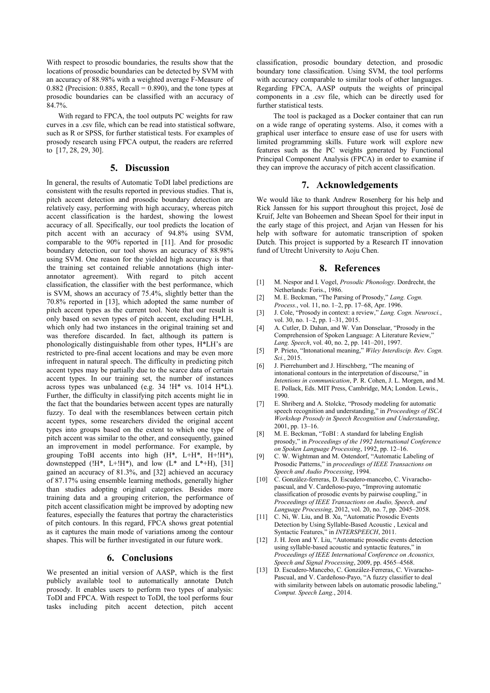With respect to prosodic boundaries, the results show that the locations of prosodic boundaries can be detected by SVM with an accuracy of 88.98% with a weighted average F-Measure of 0.882 (Precision: 0.885, Recall =  $0.890$ ), and the tone types at prosodic boundaries can be classified with an accuracy of 84.7%.

With regard to FPCA, the tool outputs PC weights for raw curves in a .csv file, which can be read into statistical software, such as R or SPSS, for further statistical tests. For examples of prosody research using FPCA output, the readers are referred to [17, 28, 29, 30].

#### **5. Discussion**

In general, the results of Automatic ToDI label predictions are consistent with the results reported in previous studies. That is, pitch accent detection and prosodic boundary detection are relatively easy, performing with high accuracy, whereas pitch accent classification is the hardest, showing the lowest accuracy of all. Specifically, our tool predicts the location of pitch accent with an accuracy of 94.8% using SVM, comparable to the 90% reported in [11]. And for prosodic boundary detection, our tool shows an accuracy of 88.98% using SVM. One reason for the yielded high accuracy is that the training set contained reliable annotations (high interannotator agreement). With regard to pitch accent classification, the classifier with the best performance, which is SVM, shows an accuracy of 75.4%, slightly better than the 70.8% reported in [13], which adopted the same number of pitch accent types as the current tool. Note that our result is only based on seven types of pitch accent, excluding H\*LH, which only had two instances in the original training set and was therefore discarded. In fact, although its pattern is phonologically distinguishable from other types, H\*LH's are restricted to pre-final accent locations and may be even more infrequent in natural speech. The difficulty in predicting pitch accent types may be partially due to the scarce data of certain accent types. In our training set, the number of instances across types was unbalanced (e.g. 34 !H\* vs. 1014 H\*L). Further, the difficulty in classifying pitch accents might lie in the fact that the boundaries between accent types are naturally fuzzy. To deal with the resemblances between certain pitch accent types, some researchers divided the original accent types into groups based on the extent to which one type of pitch accent was similar to the other, and consequently, gained an improvement in model performance. For example, by grouping ToBI accents into high  $(H^*, L^+H^*, H^+H^*),$ downstepped ( $!H^*$ , L+ $!H^*$ ), and low (L<sup>\*</sup> and L<sup>\*</sup>+H), [31] gained an accuracy of 81.3%, and [32] achieved an accuracy of 87.17% using ensemble learning methods, generally higher than studies adopting original categories. Besides more training data and a grouping criterion, the performance of pitch accent classification might be improved by adopting new features, especially the features that portray the characteristics of pitch contours. In this regard, FPCA shows great potential as it captures the main mode of variations among the contour shapes. This will be further investigated in our future work.

#### **6. Conclusions**

We presented an initial version of AASP, which is the first publicly available tool to automatically annotate Dutch prosody. It enables users to perform two types of analysis: ToDI and FPCA. With respect to ToDI, the tool performs four tasks including pitch accent detection, pitch accent

classification, prosodic boundary detection, and prosodic boundary tone classification. Using SVM, the tool performs with accuracy comparable to similar tools of other languages. Regarding FPCA, AASP outputs the weights of principal components in a .csv file, which can be directly used for further statistical tests.

 The tool is packaged as a Docker container that can run on a wide range of operating systems. Also, it comes with a graphical user interface to ensure ease of use for users with limited programming skills. Future work will explore new features such as the PC weights generated by Functional Principal Component Analysis (FPCA) in order to examine if they can improve the accuracy of pitch accent classification.

#### **7. Acknowledgements**

We would like to thank Andrew Rosenberg for his help and Rick Janssen for his support throughout this project, José de Kruif, Jelte van Boheemen and Sheean Spoel for their input in the early stage of this project, and Arjan van Hessen for his help with software for automatic transcription of spoken Dutch. This project is supported by a Research IT innovation fund of Utrecht University to Aoju Chen.

#### **8. References**

- [1] M. Nespor and I. Vogel, *Prosodic Phonology*. Dordrecht, the Netherlands: Foris., 1986.
- [2] M. E. Beckman, "The Parsing of Prosody," *Lang. Cogn. Process.*, vol. 11, no. 1–2, pp. 17–68, Apr. 1996.
- [3] J. Cole, "Prosody in context: a review," *Lang. Cogn. Neurosci.*, vol. 30, no. 1–2, pp. 1–31, 2015.
- [4] A. Cutler, D. Dahan, and W. Van Donselaar, "Prosody in the Comprehension of Spoken Language: A Literature Review," *Lang. Speech*, vol. 40, no. 2, pp. 141–201, 1997.
- [5] P. Prieto, "Intonational meaning," *Wiley Interdiscip. Rev. Cogn. Sci.*, 2015.
- [6] J. Pierrehumbert and J. Hirschberg, "The meaning of intonational contours in the interpretation of discourse," in *Intentions in communication*, P. R. Cohen, J. L. Morgen, and M. E. Pollack, Eds. MIT Press, Cambridge, MA; London. Lewis., 1990.
- [7] E. Shriberg and A. Stolcke, "Prosody modeling for automatic speech recognition and understanding," in *Proceedings of ISCA Workshop Prosody in Speech Recognition and Understanding*, 2001, pp. 13–16.
- [8] M. E. Beckman, "ToBI : A standard for labeling English prosody," in *Proceedings of the 1992 International Conference on Spoken Language Processing*, 1992, pp. 12–16.
- [9] C. W. Wightman and M. Ostendorf, "Automatic Labeling of Prosodic Patterns," in *proceedings of IEEE Transactions on Speech and Audio Processing*, 1994.
- [10] C. González-ferreras, D. Escudero-mancebo, C. Vivarachopascual, and V. Cardeñoso-payo, "Improving automatic classification of prosodic events by pairwise coupling," in *Proceedings of IEEE Transactions on Audio, Speech, and Language Processing*, 2012, vol. 20, no. 7, pp. 2045–2058.
- [11] C. Ni, W. Liu, and B. Xu, "Automatic Prosodic Events Detection by Using Syllable-Based Acoustic , Lexical and Syntactic Features," in *INTERSPEECH*, 2011.
- [12] J. H. Jeon and Y. Liu, "Automatic prosodic events detection using syllable-based acoustic and syntactic features," in *Proceedings of IEEE International Conference on Acoustics, Speech and Signal Processing*, 2009, pp. 4565–4568.
- [13] D. Escudero-Mancebo, C. González-Ferreras, C. Vivaracho-Pascual, and V. Cardeñoso-Payo, "A fuzzy classifier to deal with similarity between labels on automatic prosodic labeling," *Comput. Speech Lang.*, 2014.